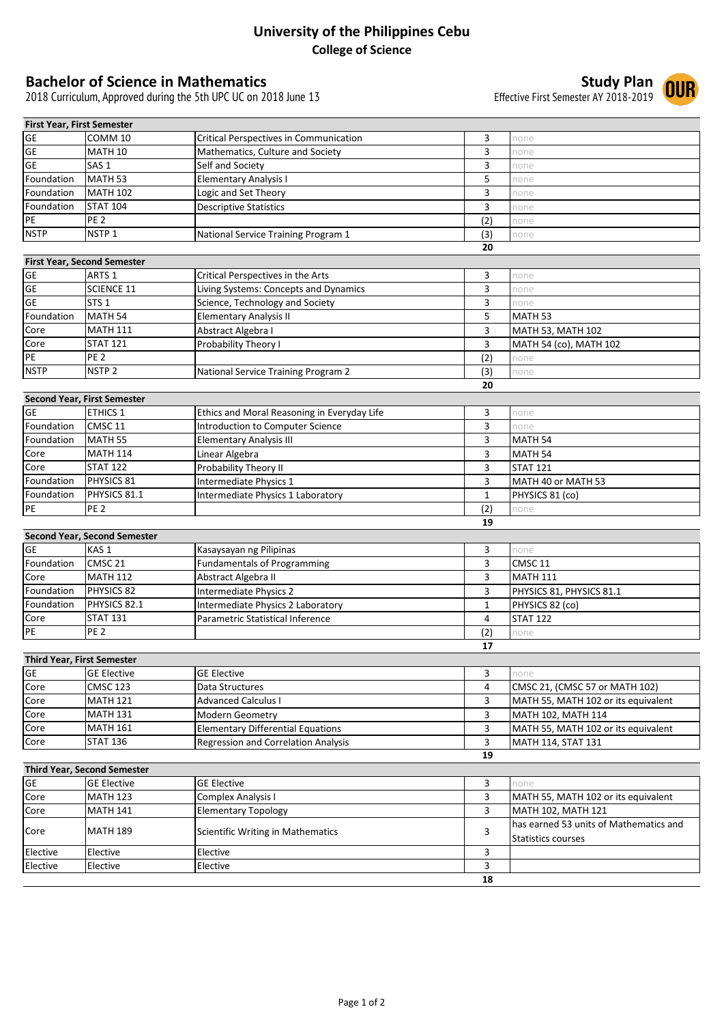## **University of the Philippines Cebu College of Science**

## **Bachelor of Science in Mathematics**<br>2018 Curriculum, Approved during the 5th UPC UC on 2018 June 13<br>**Effective First Semester AY 2018-2019 OUR**

2018 Curriculum, Approved during the 5th UPC UC on 2018 June 13

| <b>First Year, First Semester</b> |                    |                                               |     |      |
|-----------------------------------|--------------------|-----------------------------------------------|-----|------|
| GE                                | COMM 10            | <b>Critical Perspectives in Communication</b> |     | none |
| <b>GE</b>                         | MATH 10            | Mathematics, Culture and Society              |     | none |
| <b>GE</b>                         | SAS <sub>1</sub>   | Self and Society                              |     | none |
| Foundation                        | MATH <sub>53</sub> | <b>Elementary Analysis I</b>                  |     | none |
| Foundation                        | <b>MATH 102</b>    | Logic and Set Theory                          |     | none |
| Foundation                        | <b>STAT 104</b>    | <b>Descriptive Statistics</b>                 |     | none |
| PE                                | <b>PE 2</b>        |                                               | (2) | none |
| <b>NSTP</b>                       | NSTP <sub>1</sub>  | National Service Training Program 1           | (3  | none |
|                                   |                    |                                               | 20  |      |

| <b>First Year, Second Semester</b> |                    |                                       |     |                        |  |
|------------------------------------|--------------------|---------------------------------------|-----|------------------------|--|
| <b>GE</b>                          | ARTS <sub>1</sub>  | Critical Perspectives in the Arts     |     | none                   |  |
| <b>GE</b>                          | <b>SCIENCE 11</b>  | Living Systems: Concepts and Dynamics |     | none                   |  |
| <b>GE</b>                          | STS <sub>1</sub>   | Science, Technology and Society       |     | none                   |  |
| Foundation                         | MATH <sub>54</sub> | <b>Elementary Analysis II</b>         |     | MATH <sub>53</sub>     |  |
| Core                               | <b>MATH 111</b>    | Abstract Algebra I                    |     | MATH 53, MATH 102      |  |
| Core                               | <b>STAT 121</b>    | <b>Probability Theory I</b>           |     | MATH 54 (co), MATH 102 |  |
| <b>IPE</b>                         | PE <sub>2</sub>    |                                       | (2) | none                   |  |
| <b>NSTP</b>                        | NSTP <sub>2</sub>  | National Service Training Program 2   | (3) | none                   |  |
|                                    |                    |                                       | 20  |                        |  |

| <b>Second Year, First Semester</b> |                    |                                             |     |                    |  |
|------------------------------------|--------------------|---------------------------------------------|-----|--------------------|--|
| <b>GE</b>                          | <b>ETHICS 1</b>    | Ethics and Moral Reasoning in Everyday Life |     | none               |  |
| Foundation                         | CMSC <sub>11</sub> | Introduction to Computer Science            |     | none               |  |
| Foundation                         | MATH <sub>55</sub> | <b>Elementary Analysis III</b>              |     | MATH <sub>54</sub> |  |
| Core                               | <b>MATH 114</b>    | Linear Algebra                              |     | MATH <sub>54</sub> |  |
| Core                               | <b>STAT 122</b>    | <b>Probability Theory II</b>                |     | <b>STAT 121</b>    |  |
| Foundation                         | <b>PHYSICS 81</b>  | Intermediate Physics 1                      |     | MATH 40 or MATH 53 |  |
| Foundation                         | PHYSICS 81.1       | Intermediate Physics 1 Laboratory           |     | PHYSICS 81 (co)    |  |
| PE                                 | <b>PE 2</b>        |                                             | (2) | none               |  |
|                                    |                    |                                             | 19  |                    |  |

| <b>Second Year, Second Semester</b> |                    |                                    |    |                          |  |
|-------------------------------------|--------------------|------------------------------------|----|--------------------------|--|
| <b>GE</b>                           | KAS <sub>1</sub>   | Kasaysayan ng Pilipinas            |    | none                     |  |
| Foundation                          | CMSC <sub>21</sub> | <b>Fundamentals of Programming</b> |    | CMSC <sub>11</sub>       |  |
| Core                                | <b>MATH 112</b>    | Abstract Algebra II                |    | MATH 111                 |  |
| Foundation                          | <b>PHYSICS 82</b>  | Intermediate Physics 2             |    | PHYSICS 81, PHYSICS 81.1 |  |
| Foundation                          | PHYSICS 82.1       | Intermediate Physics 2 Laboratory  |    | PHYSICS 82 (co)          |  |
| Core                                | <b>STAT 131</b>    | Parametric Statistical Inference   |    | <b>STAT 122</b>          |  |
| PE                                  | PE <sub>2</sub>    |                                    |    | none                     |  |
|                                     |                    |                                    | 17 |                          |  |

| <b>Third Year, First Semester</b> |                    |                                            |    |                                     |  |
|-----------------------------------|--------------------|--------------------------------------------|----|-------------------------------------|--|
| <b>GE</b>                         | <b>GE Elective</b> | <b>GE Elective</b>                         |    | none                                |  |
| Core                              | <b>CMSC 123</b>    | Data Structures                            |    | CMSC 21, (CMSC 57 or MATH 102)      |  |
| Core                              | <b>MATH 121</b>    | <b>Advanced Calculus I</b>                 |    | MATH 55, MATH 102 or its equivalent |  |
| Core                              | <b>MATH 131</b>    | Modern Geometry                            |    | MATH 102, MATH 114                  |  |
| Core                              | <b>MATH 161</b>    | <b>Elementary Differential Equations</b>   |    | MATH 55, MATH 102 or its equivalent |  |
| Core                              | <b>STAT 136</b>    | <b>Regression and Correlation Analysis</b> |    | MATH 114, STAT 131                  |  |
|                                   |                    |                                            | 19 |                                     |  |

| <b>Third Year, Second Semester</b> |                    |                                   |    |                                        |  |
|------------------------------------|--------------------|-----------------------------------|----|----------------------------------------|--|
| <b>GE</b>                          | <b>GE Elective</b> | <b>GE Elective</b>                |    | none                                   |  |
| Core                               | <b>MATH 123</b>    | Complex Analysis I                |    | MATH 55, MATH 102 or its equivalent    |  |
| Core                               | <b>MATH 141</b>    | <b>Elementary Topology</b>        |    | MATH 102, MATH 121                     |  |
| Core                               | <b>MATH 189</b>    | Scientific Writing in Mathematics |    | has earned 53 units of Mathematics and |  |
|                                    |                    |                                   |    | Statistics courses                     |  |
| Elective                           | Elective           | Elective                          |    |                                        |  |
| Elective                           | Elective           | Elective                          |    |                                        |  |
|                                    |                    |                                   | 18 |                                        |  |